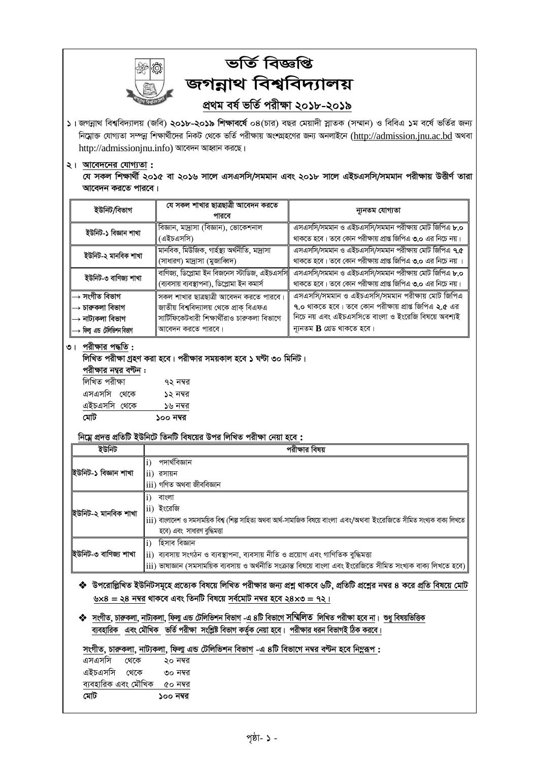

# ভৰ্তি বিজ্ঞপ্তি জগন্নাথ বিশ্ববিদ্যালয় প্ৰথম বৰ্ষ ভৰ্তি পরীক্ষা ২০১৮-২০১৯

১। জগন্নাথ বিশ্ববিদ্যালয় (জবি) ২০১৮-২০১৯ শিক্ষাবর্ষে ০৪(চার) বছর মেয়াদী স্নাতক (সম্মান) ও বিবিএ ১ম বর্ষে ভর্তির জন্য নিম্লোক্ত যোগ্যতা সম্পন্ন শিক্ষার্থীদের নিকট থেকে ভর্তি পরীক্ষায় অংশগ্রহণের জন্য অনলাইনে (http://admission.jnu.ac.bd অথবা http://admissionjnu.info) আবেদন আহ্বান করছে।

#### ২। আবেদনের যোগ্যতা:

যে সকল শিক্ষাৰ্থী ২০১৫ বা ২০১৬ সালে এসএসসি/সমমান এবং ২০১৮ সালে এইচএসসি/সমমান পরীক্ষায় উত্তীর্ণ তারা আবেদন করতে পারবে।

| ইউনিট/বিভাগ                         | যে সকল শাখার ছাত্রছাত্রী আবেদন করতে<br>পারবে                                               | ন্যূনতম যোগ্যতা                                                                                                     |  |
|-------------------------------------|--------------------------------------------------------------------------------------------|---------------------------------------------------------------------------------------------------------------------|--|
| ইউনিট-১ বিজ্ঞান শাখা                | বিজ্ঞান, মাদ্রাসা (বিজ্ঞান), ভোকেশনাল<br>(এইচএসসি)                                         | এসএসসি/সমমান ও এইচএসসি/সমমান পরীক্ষায় মোট জিপিএ ৮.০<br>থাকতে হবে। তবে কোন পরীক্ষায় প্রাপ্ত জিপিএ ৩.০ এর নিচে নয়। |  |
| ইউনিট-২ মানবিক শাখা                 | মানবিক, মিউজিক, গার্হস্থ্য অর্থনীতি, মাদ্রাসা<br>(সাধারণ) মাদ্রাসা (মুজাব্বিদ)             | এসএসসি/সমমান ও এইচএসসি/সমমান পরীক্ষায় মোট জিপিএ ৭.৫<br>থাকতে হবে। তবে কোন পরীক্ষায় প্রাপ্ত জিপিএ ৩.০ এর নিচে নয়  |  |
| ইউনিট-৩ বাণিজ্য শাখা                | বাণিজ্য, ডিপ্লোমা ইন বিজনেস স্টাডিজ, এইচএসসি<br>(ব্যবসায় ব্যবস্থাপনা), ডিপ্লোমা ইন কমার্স | এসএসসি/সমমান ও এইচএসসি/সমমান পরীক্ষায় মোট জিপিএ ৮.০<br>থাকতে হবে। তবে কোন পরীক্ষায় প্রাপ্ত জিপিএ ৩.০ এর নিচে নয়। |  |
| → সংগীত বিভাগ                       | সকল শাখার ছাত্রছাত্রী আবেদন করতে পারবে।                                                    | এসএসসি/সমমান ও এইচএসসি/সমমান পরীক্ষায় মোট জিপিএ                                                                    |  |
| → চারুকলা বিভাগ                     | জাতীয় বিশ্ববিদ্যালয় থেকে প্রাক্ বিএফএ                                                    | <b>৭.০</b> থাকতে হবে। তবে কোন পরীক্ষায় প্রাপ্ত জিপিএ ২.৫ এর                                                        |  |
| → নাট্যকলা বিভাগ                    | সার্টিফিকেটধারী শিক্ষার্থীরাও চারুকলা বিভাগে                                               | নিচে নয় এবং এইচএসসিতে বাংলা ও ইংরেজি বিষয়ে অবশ্যই                                                                 |  |
| → ফিল্ম এন্ড <i>টেলিভি</i> শন বিভাগ | আবেদন করতে পারবে।                                                                          | ন্যূনতম $B$ গ্ৰেড থাকতে হবে।                                                                                        |  |

#### ৩। পরীক্ষার পদ্ধতি:

লিখিত পরীক্ষা গ্রহণ করা হবে। পরীক্ষার সময়কাল হবে ১ ঘণ্টা ৩০ মিনিট।

| পরাক্ষার নম্বর বণ্ঢন : |           |
|------------------------|-----------|
| লিখিত পরীক্ষা          | ৭২ নম্বর  |
| এসএসসি থেকে            | ১২ নম্বর  |
| এইচএসসি থেকে           | ১৬ নম্বর  |
| মোট                    | ১০০ নম্বর |

#### নিম্নে প্রদত্ত প্রতিটি ইউনিটে তিনটি বিষয়ের উপর লিখিত পরীক্ষা নেয়া হবে :

| ইউনিট                | পরীক্ষার বিষয়                                                                                                                                                                                                                                                       |
|----------------------|----------------------------------------------------------------------------------------------------------------------------------------------------------------------------------------------------------------------------------------------------------------------|
| ইউনিট-১ বিজ্ঞান শাখা | পদাৰ্থবিজ্ঞান<br>$\overline{ii}$<br>রসায়ন<br>iii) গণিত অথবা জীববিজ্ঞান                                                                                                                                                                                              |
| ইউনিট-২ মানবিক শাখা  | বাংলা<br>ii) ইংরেজি<br>$\ket{\mathbf{i}\mathbf{i}}$ াজ্জাদেশ ও সমসাময়িক বিশ্ব (শিল্প সাহিত্য অথবা আর্থ-সামাজিক বিষয়ে বাংলা এবং/অথবা ইংরেজিতে সীমিত সংখ্যক বাক্য লিখতে<br>হবে) এবং সাধারণ বুদ্ধিমত্তা                                                               |
| ইউনিট-৩ বাণিজ্য শাখা | হিসাব বিজ্ঞান<br>$\mathbf{1}$<br>$\parallel$ ii) ব্যবসায় সংগঠন ও ব্যবস্থাপনা, ব্যবসায় নীতি ও প্রয়োগ এবং গাণিতিক বুদ্ধিমত্তা<br>$\ket{\text{iii}}$ ভাষাজ্ঞান (সমসাময়িক ব্যবসায় ও অর্থনীতি সংক্রান্ত বিষয়ে বাংলা এবং ইংরেজিতে সীমিত সংখ্যক বাক্য লিখতে হবে) $\ $ |

- � উপরোল্লিখিত ইউনিটসমূহে প্রত্যেক বিষয়ে লিখিত পরীক্ষার জন্য প্রশ্ন থাকবে ৬টি, প্রতিটি প্রশ্নের নম্বর ৪ করে প্রতি বিষয়ে মোট ৬x8 = ২৪ নম্বর থাকবে এবং তিনটি বিষয়ে সর্বমোট নম্বর হবে ২৪x৩ = ৭২।
- •ॐ সংগীত, চারুকলা, নাট্যকলা, ফিলা এন্ড টেলিভিশন বিভাগ -এ ৪টি বিভাগে সম্মিলিত লিখিত পরীক্ষা হবে না। শুধু বিষয়ভিত্তিক ব্যবহারিক এবং মৌখিক ভর্তি পরীক্ষা সংশ্লিষ্ট বিভাগ কর্তৃক নেয়া হবে। পরীক্ষার ধরন বিভাগই ঠিক করবে।

## সংগীত, চারুকলা, নাট্যকলা, ফিল্ম এন্ড টেলিভিশন বিভাগ -এ ৪টি বিভাগে নম্বর বন্টন হবে নিমুরূপ :

| মোট                 |      | ১০০ নম্বর |  |
|---------------------|------|-----------|--|
| ব্যবহারিক এবং মৌখিক |      | ৫০ নম্বর  |  |
| এইচএসসি             | থেকে | ৩০ নম্বর  |  |
| এসএসসি              | থেকে | ২০ নম্বর  |  |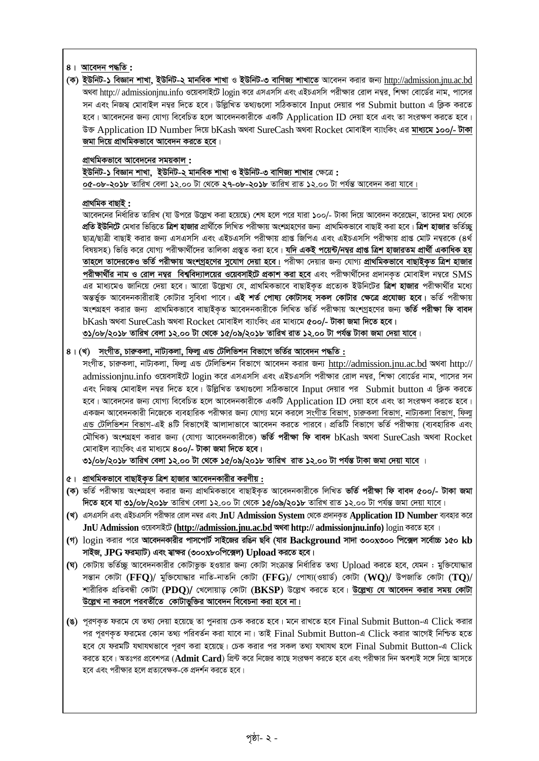### *4| Av‡e`b c×wZ* **:**

*(K) BDwbU-1 weÁvb kvLv, BDwbU-2 gvbweK kvLv I BDwbU-3 evwYR¨ kvLv‡Z Av‡e`b Kivi Rb¨* [http://admission.jnu.ac.bd](http://admission.jnu.ac.bd/) *শু*থবা http:// admissionjnu.info ওয়েবসাইটে login করে এসএসসি এবং এইচএসসি পরীক্ষার রোল নম্বর, শিক্ষা বোর্ডের নাম, পাসের *স*ন এবং নিজস্ব মোবাইল নম্বর দিতে হবে। উল্লিখিত তথ্যগুলো সঠিকভাবে Input দেয়ার পর Submit button এ ক্লিক করতে হবে। আবেদনের জন্য যোগ্য বিবেচিত হলে আবেদনকারীকে একটি Application ID দেয়া হবে এবং তা সংরক্ষণ করতে হবে।  $\vec{v}$ ক্ত Application ID Number দিয়ে bKash অথবা SureCash অথবা Rocket মোবাইল ব্যাংকিং এর **মাধ্যমে ১০০/- টাকা** *জ*মা দিয়ে প্ৰাথমিকভাবে আবেদন করতে হবে।

### *cÖv\_wgKfv‡e Av‡e`‡bi mgqKvj* **:**

*BDwbU-1 weÁvb kvLv, BDwbU-2 gvbweK kvLv I BDwbU-3 evwYR¨ kvLvi †ÿ‡Î* **: ০৫-০৮-২০১৮** তারিখ বেলা ১২.০০ টা থেকে **২৭-০৮-২০১৮** তারিখ রাত ১২.০০ টা পর্যন্ত আবেদন করা যাবে।

#### *cÖv\_wgK evQvB* **:**

*Av‡e`‡bi wba©vwiZ ZvwiL (hv Dc‡i D‡jøL Kiv n‡q‡Q) †kl n‡j c‡i hviv 100/- UvKv w`‡q Av‡e`b K‡i‡Qb, Zv‡`i ga¨ †\_‡K প্র*তি **ইউনিটে** মেধার ভিত্তিতে **ত্রিশ হাজার** প্রার্থীকে লিখিত পরীক্ষায় অংশগ্রহণের জন্য প্রাথমিকভাবে বাছাই করা হবে। **ত্রিশ হাজার** ভর্তিচ্ছ *QvÎ/QvÎx evQvB Kivi Rb¨ GmGmwm Ges GBPGmwm cixÿvq cÖvß wRwcG Ges GBPGmwm cixÿvq cÖvß †gvU b¤¦i‡K (4\_©*  বিষয়সহ) ভিত্তি করে যোগ্য পরীক্ষার্থীদের তালিকা প্রস্তুত করা হবে। **যদি একই পয়েন্ট/নম্বর প্রাপ্ত ত্রিশ হাজারতম প্রার্থী একাধিক হয় তাহলে তাদেরকেও ভর্তি পরীক্ষায় অংশগ্রহণের সুযোগ দেয়া হবে। পরীক্ষা দেয়ার জন্য যোগ্য প্রাথমিকভাবে বাছাইকৃত ত্রিশ হাজার** *cixÿv\_x©i bvg I †ivj b¤¦i wek¦we`¨vj‡qi I‡qemvB‡U cÖKvk Kiv n‡e Ges cixÿv\_x©‡`i cÖ`vbK…Z †gvevBj b¤¦‡i* SMS এর মাধ্যমেও জানিয়ে দেয়া হবে। আরো উল্লেখ্য যে, প্রাথমিকভাবে বাছাইকৃত প্রত্যেক ইউনিটের **ত্রিশ হাজার** পরীক্ষার্থীর মধ্যে *AšÍf©y³ Av‡e`bKvixivB †KvUvi myweav cv‡e| GB kZ© †cvl¨ †KvUvmn mKj †KvUvi †ÿ‡Î cÖ‡hvR¨ n‡e| fwZ© cixÿvq*  অংশগ্ৰহণ করার জন্য প্রাথমিকভাবে বাছাইকৃত আবেদনকারীকে লিখিত ভর্তি পরীক্ষায় অংশগ্রহণের জন্য **ভর্তি পরীক্ষা ফি বাবদ**  $b$ Kash অথবা SureCash অথবা Rocket মোবাইল ব্যাংকিং এর মাধ্যমে ৫০০/- টাকা জমা দিতে হবে। ৩১/০৮/২০১৮ তারিখ বেলা ১২.০০ টা থেকে ১৫/০৯/২০১৮ তারিখ রাত ১২.০০ টা পর্যন্ত টাকা জমা দেয়া যাবে।

#### *4| (L) msMxZ, PviæKjv, bvU¨Kjv, wdj¥ GÛ †Uwjwfkb wefv‡M fwZ©i Av‡e`b c×wZ* **:**

*msMxZ, PviæKjv, bvU¨Kjv, wdj¥ GÛ †Uwjwfkb wefv‡M Av‡e`b Kivi Rb¨* [http://admission.jnu.ac.bd](http://admission.jnu.ac.bd/) *A\_ev* http:// admissionjnu.info *I‡qemvB‡U* login *K‡i GmGmwm Ges GBPGmwm cixÿvi †ivj b¤¦i*, *wkÿv †ev‡W©i bvg, cv‡mi mb* এবং নিজম্ব মোবাইল নম্বর দিতে হবে। উল্লিখিত তথ্যগুলো সঠিকভাবে Input দেয়ার পর Submit button এ ক্লিক করতে হবে। আবেদনের জন্য যোগ্য বিবেচিত হলে আবেদনকারীকে একটি Application ID দেয়া হবে এবং তা সংরক্ষণ করতে হবে। *GKRb Av‡e`bKvix wb‡R‡K e¨envwiK cixÿvi Rb¨ †hvM¨ g‡b Ki‡j msMxZ wefvM, PviæKjv wefvM, bvU¨Kjv wefvM, wdj¥*  এন্ড টেলিভিশন বিভাগ-এই ৪টি বিভাগেই আলাদাভাবে আবেদন করতে পারবে। প্রতিটি বিভাগে ভর্তি পরীক্ষায় (ব্যবহারিক এবং *†gŠwLK) AskMÖnY Kivi Rb¨ (†hvM¨ Av‡e`bKvix‡K) fwZ© cixÿv wd eve`* bKash *A\_ev* SureCash *A\_ev* Rocket *†gvevBj e¨vswKs Gi gva¨‡g 400/- UvKv Rgv w`‡Z n‡e|* 

৩১/০৮/২০১৮ তারিখ বেলা ১২.০০ টা থেকে ১৫/০৯/২০১৮ তারিখ রাত ১২.০০ টা পর্যন্ত টাকা জমা দেয়া যাবে ।

- $6$ । প্রাথমিকভাবে বাছাইকত ত্রিশ হাজার আবেদনকারীর করণীয় **:**
- **(***K) fwZ© cixÿvq AskMÖnY Kivi Rb¨ cÖv\_wgKfv‡e evQvBK…Z Av‡e`bKvix‡K wjwLZ fwZ© cixÿv wd eve` 500/- UvKv Rgv দিতে হবে* যা ৩১/০৮/২০১৮ তারিখ বেলা ১২.০০ টা থেকে ১৫/০৯/২০১৮ তারিখ রাত ১২.০০ টা পর্যন্ত জমা দেয়া যাবে।
- **(***L) GmGmwm Ges GBPGmwm cixÿvi †ivj b¤^i Ges* **JnU Admission System** *†\_‡K cÖ`vbK…Z* **Application ID Number** *e¨envi K‡i*   $JnU$  Admission ওয়েবসাইটে [\(http://admission.jnu.ac.bd](http://admission.jnu.ac.bd/) অথবা http:// admissionjnu.info) login করতে হবে ।
- **(***M)* login *Kivi c‡i Av‡e`bKvixi cvm‡cvU© mvB‡Ri iwOb Qwe (hvi* **Background** *mv`v 300***x***300 wc‡·j m‡e©v"P 150* **kb**  *mvBR,* **JPG** *dig¨vU) Ges m¦vÿi (300***x***80wc‡·j***) Upload** *Ki‡Z n‡e|*
- *(***ঘ)** কোটায় ভর্তিচ্ছু আবেদনকারীর কোটাভুক্ত হওয়ার জন্য কোটা সংক্রান্ত নির্ধারিত তথ্য Upload করতে হবে, যেমন : মুক্তিযোদ্ধার সম্ভান কোটা (FFQ)/ মুক্তিযোদ্ধার নাতি-নাতনি কোটা (FFG)/ পোষ্য(ওয়ার্ড) কোটা (WQ)/ উপজাতি কোটা (TQ)/  $\star$ ারীরিক প্রতিবন্ধী কোটা (PDO)/ খেলোয়াড় কোটা (BKSP) উল্লেখ করতে হবে। **উল্লেখ্য যে আবেদন করার সময় কোটা** *D‡jøL bv Ki‡j cieZx©‡Z †KvUvfyw³i Av‡e`b we‡ePbv Kiv n‡e bv|*
- **(***O) c~iYK…Z di‡g †h Z\_¨ †`qv n‡q‡Q Zv cybivq †PK Ki‡Z n‡e| g‡b ivL‡Z n‡e* Final Submit Button-*G* Click *Kivi ci c~iYK…Z di‡gi †Kvb Z\_¨ cwieZ©b Kiv hv‡e bv| ZvB* Final Submit Button-*G* Click *Kivi Av‡MB wbwðZ n‡Z*  হবে যে ফরমটি যথাযথভাবে পূরণ করা হয়েছে। চেক করার পর সকল তথ্য যথাযথ হলে Final Submit Button-এ Click *ক*রতে হবে। অতঃপর প্রবেশপত্র (**Admit Card**) প্রিন্ট করে নিজের কাছে সংরক্ষণ করতে হবে এবং পরীক্ষার দিন অবশ্যই সঙ্গে নিয়ে আসতে *হ*বে এবং পরীক্ষার হলে প্রত্যবেক্ষক-কে প্রদর্শন করতে হবে।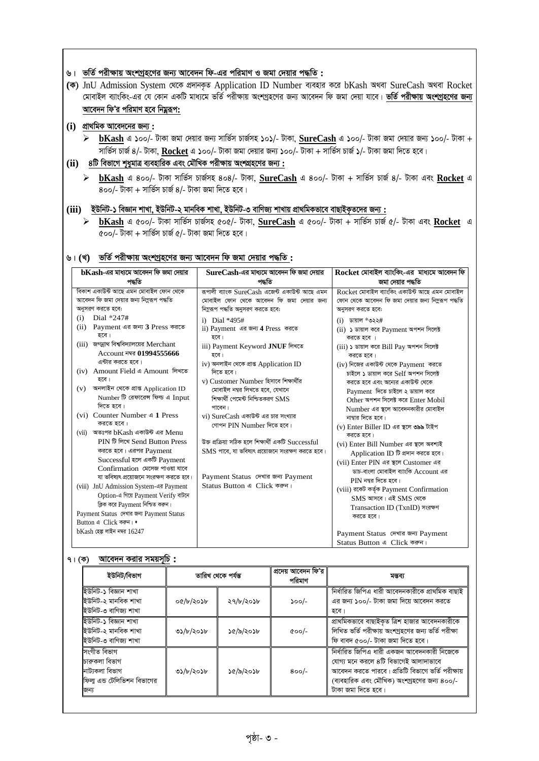#### $6$ । ভর্তি পরীক্ষায় অংশগ্রহণের জন্য আবেদন ফি-এর পরিমাণ ও জমা দেয়ার পদ্ধতি :

(ক) JnU Admission System থেকে প্ৰদানকৃত Application ID Number ব্যবহার করে bKash অথবা SureCash অথবা Rocket *†gvevBj e¨vswKs-Gi †h †Kvb GKwU gva¨‡g fwZ© cixÿvq AskMªn‡Yi Rb¨ Av‡e`b wd Rgv †`qv hv‡e| fwZ© cixÿvq AskMªn‡Yi Rb¨ Av‡e`b wdÕi cwigvY n‡e wbgœiƒc***:**

#### **(i)** *cÖv\_wgK Av‡e`‡bi Rb¨* **:**

 $\triangleright$  **bKash** এ ১০০/- টাকা জমা দেয়ার জন্য সার্ভিস চার্জসহ ১০১/- টাকা, SureCash এ ১০০/- টাকা জমা দেয়ার জন্য ১০০/- টাকা + *mvwf©m PvR© 4/- UvKv,* **Rocket** *G 100/- UvKv Rgv †`qvi Rb¨ 100/- UvKv + mvwf©m PvR© 1/- UvKv Rgv w`‡Z n‡e|* 

### $(iii)$  8টি বিভাগে শুধুমাত্র ব্যবহারিক এবং মৌখিক পরীক্ষায় অংশগ্রহণের জন্য :

 **bKash** *G 400/- UvKv mvwf©m PvR©mn 404/- UvKv,* **SureCash** *G 400/- UvKv + mvwf©m PvR© 4/- UvKv Ges* **Rocket** *G*   $\overline{800/-}$  টাকা + সার্ভিস চার্জ 8/- টাকা জমা দিতে হবে।

#### **(iii)** *BDwbU-1 weÁvb kvLv, BDwbU-2 gvbweK kvLv, BDwbU-3 evwYR¨ kvLvq cÖv\_wgKfv‡e evQvBK…Z‡`i Rb¨* **:**

 **bKash** *G 500/- UvKv mvwf©m PvR©mn 505/- UvKv,* **SureCash** *G 500/- UvKv + mvwf©m PvR© 5/- UvKv Ges* **Rocket** *G 500/- UvKv + mvwf©m PvR© 5/- UvKv Rgv w`‡Z n‡e|* 

#### &। (খ) ভর্তি পরীক্ষায় অংশগ্রহণের জন্য আবেদন ফি জমা দেয়ার পদ্ধতি :

| ${\bf bKash}$ -এর মাধ্যমে আবেদন ফি জমা দেয়ার                                                                                                                                                                                                                                                                                                                                                                                                                                                                                                                  | $\operatorname{SureCash-}$ এর মাধ্যমে আবেদন ফি জমা দেয়ার                                                                                                                                                                                                                                                                                                                                                                                                                                                                                                                                                     | Rocket মোবাইল ব্যাংকিং-এর  মাধ্যমে আবেদন ফি                                                                                                                                                                                                                                                                                                                                                                                                                                                                                                                                                                               |  |
|----------------------------------------------------------------------------------------------------------------------------------------------------------------------------------------------------------------------------------------------------------------------------------------------------------------------------------------------------------------------------------------------------------------------------------------------------------------------------------------------------------------------------------------------------------------|---------------------------------------------------------------------------------------------------------------------------------------------------------------------------------------------------------------------------------------------------------------------------------------------------------------------------------------------------------------------------------------------------------------------------------------------------------------------------------------------------------------------------------------------------------------------------------------------------------------|---------------------------------------------------------------------------------------------------------------------------------------------------------------------------------------------------------------------------------------------------------------------------------------------------------------------------------------------------------------------------------------------------------------------------------------------------------------------------------------------------------------------------------------------------------------------------------------------------------------------------|--|
| পদ্ধতি                                                                                                                                                                                                                                                                                                                                                                                                                                                                                                                                                         | পদ্ধতি                                                                                                                                                                                                                                                                                                                                                                                                                                                                                                                                                                                                        | জমা দেয়ার পদ্ধতি                                                                                                                                                                                                                                                                                                                                                                                                                                                                                                                                                                                                         |  |
| বিকাশ একাউন্ট আছে এমন মোবাইল ফোন থেকে<br>আবেদন ফি জমা দেয়ার জন্য নিমুরূপ পদ্ধতি<br>অনুসরণ করতে হবে:<br>Dial *247#<br>(i)<br>Payment এর জন্য 3 Press করতে<br>(ii)<br>হবে।<br>(iii) জগন্নাথ বিশ্ববিদ্যালয়ের Merchant<br>Account নম্বর 01994555666<br>এন্টার করতে হবে।<br>(iv) Amount Field এ Amount লিখতে<br>হবে।<br>অনলাইন থেকে প্ৰাপ্ত Application ID<br>(v)<br>Number টি রেফারেন্স ফিল্ড এ Input<br>দিতে হবে।<br>(vi) Counter Number 4 1 Press<br>করতে হবে।<br>(vii) অতঃপর bKash একাউন্ট এর Menu<br>PIN টি লিখে Send Button Press<br>করতে হবে। এরপর Payment | রূপালী ব্যাংক SureCash এজেন্ট একাউন্ট আছে এমন<br>মোবাইল ফোন থেকে আবেদন ফি জমা দেয়ার জন্য<br>নিমুরূপ পদ্ধতি অনুসরণ করতে হবে:<br>i) Dial *495#<br>ii) Payment এর জন্য 4 Press করতে<br>হবে।<br>iii) Payment Keyword JNUF লিখতে<br>হবে।<br>iv) অনলাইন থেকে প্ৰাপ্ত Application ID<br>দিতে হবে।<br>v) Customer Number হিসাবে শিক্ষাৰ্থীর<br>মোবাইল নম্বর লিখতে হবে, যেখানে<br>শিক্ষার্থী পেমেন্ট নিশ্চিতকরণ SMS<br>পাবেন।<br>vi) SureCash একাউন্ট এর চার সংখ্যার<br>গোপন PIN Number দিতে হবে।<br>উক্ত প্ৰক্ৰিয়া সঠিক হলে শিক্ষাৰ্থী একটি Successful<br>$\text{SMS}$ পাবে, যা ভবিষ্যৎ প্রয়োজনে সংরক্ষণ করতে হবে। | Rocket মোবাইল ব্যাংকিং একাউন্ট আছে এমন মোবাইল<br>ফোন থেকে আবেদন ফি জমা দেয়ার জন্য নিম্নরূপ পদ্ধতি<br>অনুসরণ করতে হবে:<br>$(i)$ ডায়াল *৩২২#<br>(ii) ১ ডায়াল করে Payment অপশন সিলেক্ট<br>করতে হবে ।<br>(iii) ১ ডায়াল করে Bill Pay অপশন সিলেক্ট<br>করতে হবে।<br>$(iv)$ নিজের একাউন্ট থেকে $P$ ayment করতে<br>চাইলে ১ ডায়াল করে Self অপশন সিলেক্ট<br>করতে হবে এবং অন্যের একাউন্ট থেকে<br>Payment দিতে চাইলে ২ ডায়াল করে<br>Other অপশন সিলেক্ট করে Enter Mobil<br>Number এর স্থলে আবেদনকারীর মোবাইল<br>নাম্বার দিতে হবে।<br>(v) Enter Biller ID এর স্থলে ৩৯৯ টাইপ<br>করতে হবে।<br>(vi) Enter Bill Number এর স্থলে অবশ্যই |  |
| Successful হলে একটি Payment<br>Confirmation মেসেজ পাওয়া যাবে<br>যা ভবিষ্যৎ প্রয়োজনে সংরক্ষণ করতে হবে।<br>(viii) JnU Admission System-এর Payment<br>Option-এ গিয়ে Payment Verify বাটনে<br>ক্লিক করে Payment নিশ্চিত করুন।<br>Payment Status দেখার জন্য Payment Status<br>Button 4 Click कड़न। •<br>$bKash$ হেল্প লাইন নম্বর $16247$                                                                                                                                                                                                                          | Payment Status দেখার জন্য Payment<br>Status Button এ Click করুন।                                                                                                                                                                                                                                                                                                                                                                                                                                                                                                                                              | Application ID টি প্রদান করতে হবে।<br>(vii) Enter PIN এর স্থলে Customer এর<br>ডাচ-বাংলা মোবাইল ব্যাংকি Account এর<br>$PIN$ নম্বর দিতে হবে।<br>(viii) রকেট কর্তৃক Payment Confirmation<br>$SMS$ আসবে। এই $SMS$ থেকে<br>Transaction ID (TxnID) সংরক্ষণ<br>করতে হবে।<br>Payment Status দেখার জন্য Payment<br>Status Button 4 Click করুন।                                                                                                                                                                                                                                                                                     |  |

#### *7| (K) Av‡e`b Kivi mgqm~wP* **:**

| ইউনিট/বিভাগ                                                                          | তারিখ থেকে পর্যন্ত |           | প্ৰদেয় আবেদন ফি'র<br>পরিমাণ | মন্তব্য                                                                                                                                                                                                     |  |
|--------------------------------------------------------------------------------------|--------------------|-----------|------------------------------|-------------------------------------------------------------------------------------------------------------------------------------------------------------------------------------------------------------|--|
| ইউনিট-১ বিজ্ঞান শাখা<br>ইউনিট-২ মানবিক শাখা<br>ইউনিট-৩ বাণিজ্য শাখা                  | ০৫/৮/২০১৮          | ২৭/৮/২০১৮ | $500/-$                      | নিৰ্ধাৱিত জিপিএ ধাৱী আবেদনকাৱীকে প্ৰাথমিক বাছাই<br>এর জন্য ১০০/- টাকা জমা দিয়ে আবেদন করতে<br>হবে।                                                                                                          |  |
| ইউনিট-১ বিজ্ঞান শাখা<br>ইউনিট-২ মানবিক শাখা<br>ইউনিট-৩ বাণিজ্য শাখা                  | ৩১/৮/২০১৮          | ১৫/৯/২০১৮ | $\alpha$ oo/-                | প্রাথমিকভাবে বাছাইকৃত ত্রিশ হাজার আবেদনকারীকে<br>লিখিত ভৰ্তি পরীক্ষায় অংশগ্রহণের জন্য ভর্তি পরীক্ষা<br>ফি বাবদ ৫০০/- টাকা জমা দিতে হবে।                                                                    |  |
| সংগীত বিভাগ<br>চারুকলা বিভাগ<br>নাট্যকলা বিভাগ<br>ফিলা এন্ড টেলিভিশন বিভাগের<br>জন্য | ৩১/৮/২০১৮          | ১৫/৯/২০১৮ | $800/-$                      | নিৰ্ধাৱিত জিপিএ ধারী একজন আবেদনকারী নিজেকে<br>যোগ্য মনে করলে ৪টি বিভাগেই আলাদাভাবে<br>আবেদন করতে পারবে। প্রতিটি বিভাগে ভর্তি পরীক্ষায়<br>(ব্যবহারিক এবং মৌখিক) অংশগ্রহণের জন্য ৪০০/-<br>টাকা জমা দিতে হবে। |  |